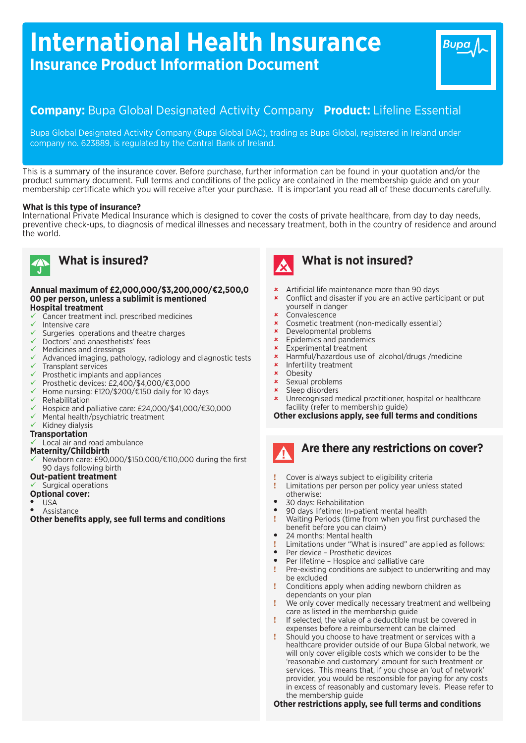# **International Health Insurance Insurance Product Information Document**

# **Company:** Bupa Global Designated Activity Company **Product:** Lifeline Essential

Bupa Global Designated Activity Company (Bupa Global DAC), trading as Bupa Global, registered in Ireland under company no. 623889, is regulated by the Central Bank of Ireland.

This is a summary of the insurance cover. Before purchase, further information can be found in your quotation and/or the product summary document. Full terms and conditions of the policy are contained in the membership guide and on your membership certificate which you will receive after your purchase. It is important you read all of these documents carefully.

#### **What is this type of insurance?**

International Private Medical Insurance which is designed to cover the costs of private healthcare, from day to day needs, preventive check-ups, to diagnosis of medical illnesses and necessary treatment, both in the country of residence and around the world.



## **What is insured?**

#### **Annual maximum of £2,000,000/\$3,200,000/€2,500,0 00 per person, unless a sublimit is mentioned Hospital treatment**

- ü Cancer treatment incl. prescribed medicines
- Intensive care
- Surgeries operations and theatre charges
- Doctors' and anaesthetists' fees
- Medicines and dressings
- Advanced imaging, pathology, radiology and diagnostic tests ü Transplant services
- Prosthetic implants and appliances
- ü Prosthetic devices: £2,400/\$4,000/€3,000
- Home nursing: £120/\$200/€150 daily for 10 days
- Rehabilitation
- Hospice and palliative care: £24,000/\$41,000/€30,000
- Mental health/psychiatric treatment
- Kidney dialysis

#### **Transportation**

Local air and road ambulance

#### **Maternity/Childbirth**

- ü Newborn care: £90,000/\$150,000/€110,000 during the first 90 days following birth
- **Out-patient treatment**

#### Surgical operations

- **Optional cover:**
- <sup>l</sup> USA
- Assistance

**Other benefits apply, see full terms and conditions**



# **What is not insured?**

- **\*** Artificial life maintenance more than 90 days
- **\*** Conflict and disaster if you are an active participant or put yourself in danger
- **Convalescence**
- û Cosmetic treatment (non-medically essential)
- Developmental problems
- Epidemics and pandemics
- **\*** Experimental treatment
- û Harmful/hazardous use of alcohol/drugs /medicine
- **\*** Infertility treatment
- $\times$  Obesity<br> $\times$  Sexual n
- Sexual problems
- **\*** Sleep disorders
- Unrecognised medical practitioner, hospital or healthcare facility (refer to membership guide)

#### **Other exclusions apply, see full terms and conditions**



# **Are there any restrictions on cover?**

- **!** Cover is always subject to eligibility criteria
- **!** Limitations per person per policy year unless stated otherwise:
- 30 days: Rehabilitation
- 90 days lifetime: In-patient mental health
- **!** Waiting Periods (time from when you first purchased the benefit before you can claim)
- <sup>l</sup> 24 months: Mental health
- **!** Limitations under "What is insured" are applied as follows:
- Per device Prosthetic devices
- Per lifetime Hospice and palliative care
- **!** Pre-existing conditions are subject to underwriting and may be excluded
- **!** Conditions apply when adding newborn children as dependants on your plan
- **!** We only cover medically necessary treatment and wellbeing care as listed in the membership guide
- **!** If selected, the value of a deductible must be covered in expenses before a reimbursement can be claimed
- **!** Should you choose to have treatment or services with a healthcare provider outside of our Bupa Global network, we will only cover eligible costs which we consider to be the 'reasonable and customary' amount for such treatment or services. This means that, if you chose an 'out of network' provider, you would be responsible for paying for any costs in excess of reasonably and customary levels. Please refer to the membership guide

#### **Other restrictions apply, see full terms and conditions**